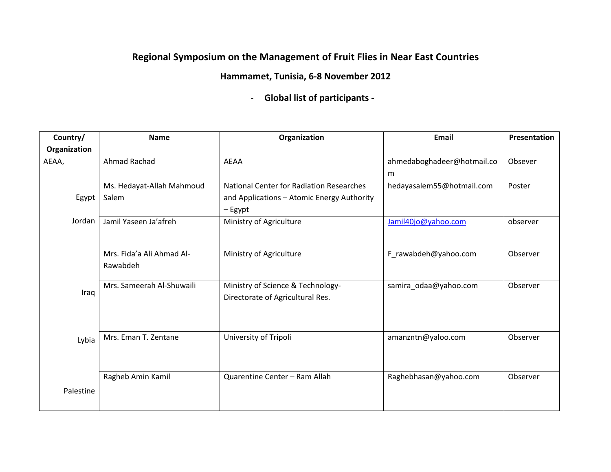## **Regional Symposium on the Management of Fruit Flies in Near East Countries**

## **Hammamet, Tunisia, 6‐8 November 2012**

‐ **Global list of participants ‐** 

| Country/     | <b>Name</b>               | Organization                               | <b>Email</b>               | Presentation |
|--------------|---------------------------|--------------------------------------------|----------------------------|--------------|
| Organization |                           |                                            |                            |              |
| AEAA,        | Ahmad Rachad              | <b>AEAA</b>                                | ahmedaboghadeer@hotmail.co | Obsever      |
|              |                           |                                            | m                          |              |
|              | Ms. Hedayat-Allah Mahmoud | National Center for Radiation Researches   | hedayasalem55@hotmail.com  | Poster       |
| Egypt        | Salem                     | and Applications - Atomic Energy Authority |                            |              |
|              |                           | – Egypt                                    |                            |              |
| Jordan       | Jamil Yaseen Ja'afreh     | Ministry of Agriculture                    | Jamil40jo@yahoo.com        | observer     |
|              |                           |                                            |                            |              |
|              | Mrs. Fida'a Ali Ahmad Al- |                                            |                            |              |
|              |                           | Ministry of Agriculture                    | F_rawabdeh@yahoo.com       | Observer     |
|              | Rawabdeh                  |                                            |                            |              |
|              | Mrs. Sameerah Al-Shuwaili | Ministry of Science & Technology-          | samira_odaa@yahoo.com      | Observer     |
| Iraq         |                           | Directorate of Agricultural Res.           |                            |              |
|              |                           |                                            |                            |              |
|              |                           |                                            |                            |              |
|              | Mrs. Eman T. Zentane      | University of Tripoli                      | amanzntn@yaloo.com         | Observer     |
| Lybia        |                           |                                            |                            |              |
|              |                           |                                            |                            |              |
|              | Ragheb Amin Kamil         | Quarentine Center - Ram Allah              | Raghebhasan@yahoo.com      | Observer     |
|              |                           |                                            |                            |              |
| Palestine    |                           |                                            |                            |              |
|              |                           |                                            |                            |              |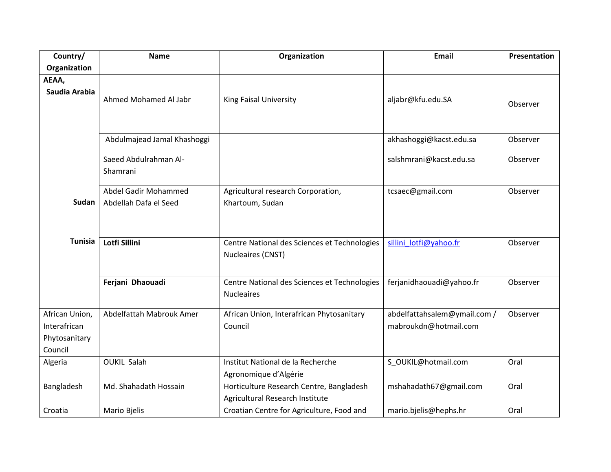| Country/                                                   | <b>Name</b>                                   | Organization                                                                | <b>Email</b>                                          | Presentation |
|------------------------------------------------------------|-----------------------------------------------|-----------------------------------------------------------------------------|-------------------------------------------------------|--------------|
| Organization                                               |                                               |                                                                             |                                                       |              |
| AEAA,<br>Saudia Arabia                                     | Ahmed Mohamed Al Jabr                         | King Faisal University                                                      | aljabr@kfu.edu.SA                                     | Observer     |
|                                                            | Abdulmajead Jamal Khashoggi                   |                                                                             | akhashoggi@kacst.edu.sa                               | Observer     |
|                                                            | Saeed Abdulrahman Al-<br>Shamrani             |                                                                             | salshmrani@kacst.edu.sa                               | Observer     |
| Sudan                                                      | Abdel Gadir Mohammed<br>Abdellah Dafa el Seed | Agricultural research Corporation,<br>Khartoum, Sudan                       | tcsaec@gmail.com                                      | Observer     |
| <b>Tunisia</b>                                             | Lotfi Sillini                                 | Centre National des Sciences et Technologies<br>Nucleaires (CNST)           | sillini_lotfi@yahoo.fr                                | Observer     |
|                                                            | Ferjani Dhaouadi                              | Centre National des Sciences et Technologies<br><b>Nucleaires</b>           | ferjanidhaouadi@yahoo.fr                              | Observer     |
| African Union,<br>Interafrican<br>Phytosanitary<br>Council | Abdelfattah Mabrouk Amer                      | African Union, Interafrican Phytosanitary<br>Council                        | abdelfattahsalem@ymail.com /<br>mabroukdn@hotmail.com | Observer     |
| Algeria                                                    | <b>OUKIL Salah</b>                            | Institut National de la Recherche<br>Agronomique d'Algérie                  | S_OUKIL@hotmail.com                                   | Oral         |
| Bangladesh                                                 | Md. Shahadath Hossain                         | Horticulture Research Centre, Bangladesh<br>Agricultural Research Institute | mshahadath67@gmail.com                                | Oral         |
| Croatia                                                    | Mario Bjelis                                  | Croatian Centre for Agriculture, Food and                                   | mario.bjelis@hephs.hr                                 | Oral         |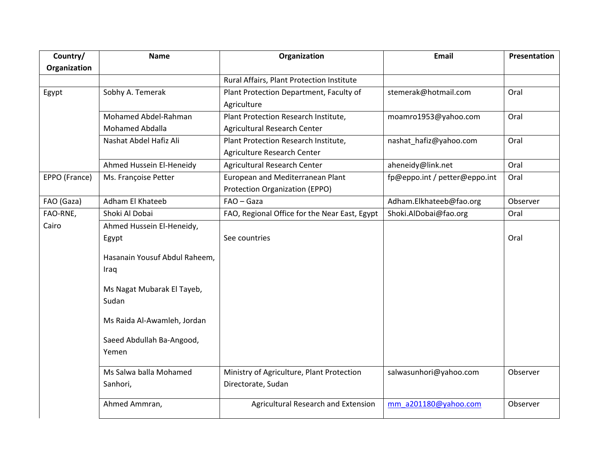| Country/      | <b>Name</b>                   | Organization                                  | <b>Email</b>                  | Presentation |
|---------------|-------------------------------|-----------------------------------------------|-------------------------------|--------------|
| Organization  |                               |                                               |                               |              |
|               |                               | Rural Affairs, Plant Protection Institute     |                               |              |
| Egypt         | Sobhy A. Temerak              | Plant Protection Department, Faculty of       | stemerak@hotmail.com          | Oral         |
|               |                               | Agriculture                                   |                               |              |
|               | Mohamed Abdel-Rahman          | Plant Protection Research Institute,          | moamro1953@yahoo.com          | Oral         |
|               | Mohamed Abdalla               | Agricultural Research Center                  |                               |              |
|               | Nashat Abdel Hafiz Ali        | Plant Protection Research Institute,          | nashat_hafiz@yahoo.com        | Oral         |
|               |                               | Agriculture Research Center                   |                               |              |
|               | Ahmed Hussein El-Heneidy      | <b>Agricultural Research Center</b>           | aheneidy@link.net             | Oral         |
| EPPO (France) | Ms. Françoise Petter          | European and Mediterranean Plant              | fp@eppo.int / petter@eppo.int | Oral         |
|               |                               | Protection Organization (EPPO)                |                               |              |
| FAO (Gaza)    | Adham El Khateeb              | FAO - Gaza                                    | Adham.Elkhateeb@fao.org       | Observer     |
| FAO-RNE,      | Shoki Al Dobai                | FAO, Regional Office for the Near East, Egypt | Shoki.AlDobai@fao.org         | Oral         |
| Cairo         | Ahmed Hussein El-Heneidy,     |                                               |                               |              |
|               | Egypt                         | See countries                                 |                               | Oral         |
|               | Hasanain Yousuf Abdul Raheem, |                                               |                               |              |
|               | Iraq                          |                                               |                               |              |
|               |                               |                                               |                               |              |
|               | Ms Nagat Mubarak El Tayeb,    |                                               |                               |              |
|               | Sudan                         |                                               |                               |              |
|               | Ms Raida Al-Awamleh, Jordan   |                                               |                               |              |
|               | Saeed Abdullah Ba-Angood,     |                                               |                               |              |
|               | Yemen                         |                                               |                               |              |
|               |                               |                                               |                               |              |
|               | Ms Salwa balla Mohamed        | Ministry of Agriculture, Plant Protection     | salwasunhori@yahoo.com        | Observer     |
|               | Sanhori,                      | Directorate, Sudan                            |                               |              |
|               | Ahmed Ammran,                 | Agricultural Research and Extension           | mm_a201180@yahoo.com          | Observer     |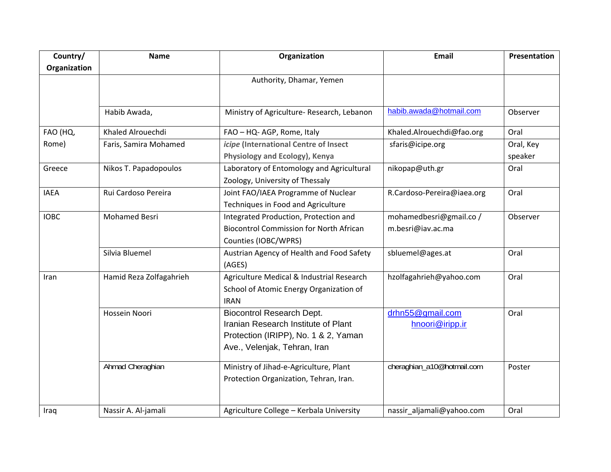| Country/     | <b>Name</b>             | Organization                                   | <b>Email</b>               | Presentation |
|--------------|-------------------------|------------------------------------------------|----------------------------|--------------|
| Organization |                         |                                                |                            |              |
|              |                         | Authority, Dhamar, Yemen                       |                            |              |
|              |                         |                                                |                            |              |
|              | Habib Awada,            | Ministry of Agriculture- Research, Lebanon     | habib.awada@hotmail.com    | Observer     |
|              |                         |                                                |                            |              |
| FAO (HQ,     | Khaled Alrouechdi       | FAO - HQ- AGP, Rome, Italy                     | Khaled.Alrouechdi@fao.org  | Oral         |
| Rome)        | Faris, Samira Mohamed   | icipe (International Centre of Insect          | sfaris@icipe.org           | Oral, Key    |
|              |                         | Physiology and Ecology), Kenya                 |                            | speaker      |
| Greece       | Nikos T. Papadopoulos   | Laboratory of Entomology and Agricultural      | nikopap@uth.gr             | Oral         |
|              |                         | Zoology, University of Thessaly                |                            |              |
| <b>IAEA</b>  | Rui Cardoso Pereira     | Joint FAO/IAEA Programme of Nuclear            | R.Cardoso-Pereira@iaea.org | Oral         |
|              |                         | Techniques in Food and Agriculture             |                            |              |
| <b>IOBC</b>  | <b>Mohamed Besri</b>    | Integrated Production, Protection and          | mohamedbesri@gmail.co /    | Observer     |
|              |                         | <b>Biocontrol Commission for North African</b> | m.besri@iav.ac.ma          |              |
|              |                         | Counties (IOBC/WPRS)                           |                            |              |
|              | Silvia Bluemel          | Austrian Agency of Health and Food Safety      | sbluemel@ages.at           | Oral         |
|              |                         | (AGES)                                         |                            |              |
| Iran         | Hamid Reza Zolfagahrieh | Agriculture Medical & Industrial Research      | hzolfagahrieh@yahoo.com    | Oral         |
|              |                         | School of Atomic Energy Organization of        |                            |              |
|              |                         | <b>IRAN</b>                                    |                            |              |
|              | Hossein Noori           | <b>Biocontrol Research Dept.</b>               | drhn55@gmail.com           | Oral         |
|              |                         | Iranian Research Institute of Plant            | hnoori@iripp.ir            |              |
|              |                         | Protection (IRIPP), No. 1 & 2, Yaman           |                            |              |
|              |                         | Ave., Velenjak, Tehran, Iran                   |                            |              |
|              | Ahmad Cheraghian        | Ministry of Jihad-e-Agriculture, Plant         | cheraghian_a10@hotmail.com | Poster       |
|              |                         | Protection Organization, Tehran, Iran.         |                            |              |
|              |                         |                                                |                            |              |
|              |                         |                                                |                            |              |
| Iraq         | Nassir A. Al-jamali     | Agriculture College - Kerbala University       | nassir_aljamali@yahoo.com  | Oral         |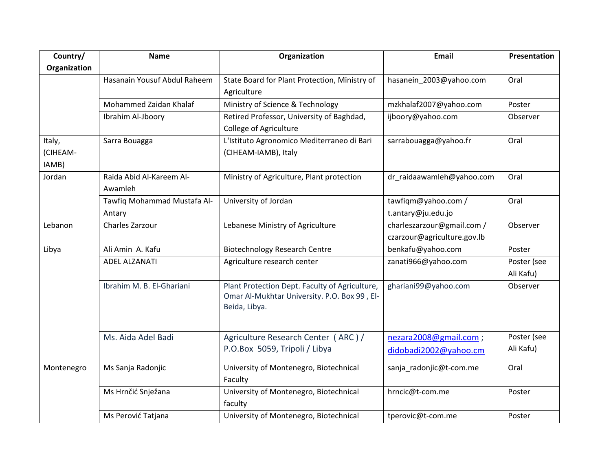| Country/                    | <b>Name</b>                           | Organization                                                                                                    | <b>Email</b>                                              | Presentation             |
|-----------------------------|---------------------------------------|-----------------------------------------------------------------------------------------------------------------|-----------------------------------------------------------|--------------------------|
| Organization                |                                       |                                                                                                                 |                                                           |                          |
|                             | Hasanain Yousuf Abdul Raheem          | State Board for Plant Protection, Ministry of<br>Agriculture                                                    | hasanein_2003@yahoo.com                                   | Oral                     |
|                             | Mohammed Zaidan Khalaf                | Ministry of Science & Technology                                                                                | mzkhalaf2007@yahoo.com                                    | Poster                   |
|                             | Ibrahim Al-Jboory                     | Retired Professor, University of Baghdad,<br><b>College of Agriculture</b>                                      | ijboory@yahoo.com                                         | Observer                 |
| Italy,<br>(CIHEAM-<br>IAMB) | Sarra Bouagga                         | L'Istituto Agronomico Mediterraneo di Bari<br>(CIHEAM-IAMB), Italy                                              | sarrabouagga@yahoo.fr                                     | Oral                     |
| Jordan                      | Raida Abid Al-Kareem Al-<br>Awamleh   | Ministry of Agriculture, Plant protection                                                                       | dr_raidaawamleh@yahoo.com                                 | Oral                     |
|                             | Tawfiq Mohammad Mustafa Al-<br>Antary | University of Jordan                                                                                            | tawfiqm@yahoo.com /<br>t.antary@ju.edu.jo                 | Oral                     |
| Lebanon                     | Charles Zarzour                       | Lebanese Ministry of Agriculture                                                                                | charleszarzour@gmail.com /<br>czarzour@agriculture.gov.lb | Observer                 |
| Libya                       | Ali Amin A. Kafu                      | <b>Biotechnology Research Centre</b>                                                                            | benkafu@yahoo.com                                         | Poster                   |
|                             | <b>ADEL ALZANATI</b>                  | Agriculture research center                                                                                     | zanati966@yahoo.com                                       | Poster (see<br>Ali Kafu) |
|                             | Ibrahim M. B. El-Ghariani             | Plant Protection Dept. Faculty of Agriculture,<br>Omar Al-Mukhtar University. P.O. Box 99, El-<br>Beida, Libya. | ghariani99@yahoo.com                                      | Observer                 |
|                             | Ms. Aida Adel Badi                    | Agriculture Research Center (ARC)/<br>P.O.Box 5059, Tripoli / Libya                                             | nezara2008@gmail.com;<br>didobadi2002@yahoo.cm            | Poster (see<br>Ali Kafu) |
| Montenegro                  | Ms Sanja Radonjic                     | University of Montenegro, Biotechnical<br>Faculty                                                               | sanja_radonjic@t-com.me                                   | Oral                     |
|                             | Ms Hrnčić Snježana                    | University of Montenegro, Biotechnical<br>faculty                                                               | hrncic@t-com.me                                           | Poster                   |
|                             | Ms Perović Tatjana                    | University of Montenegro, Biotechnical                                                                          | tperovic@t-com.me                                         | Poster                   |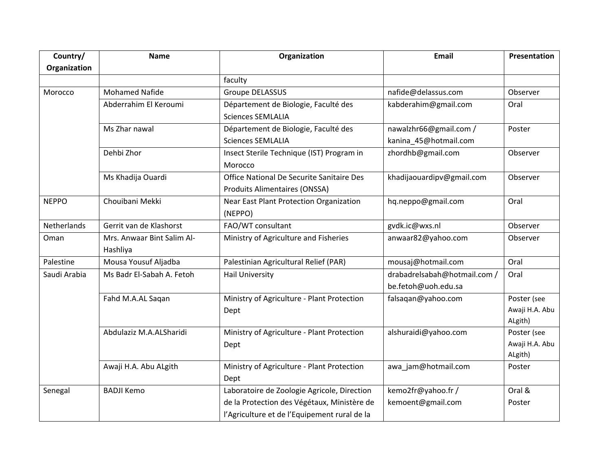| Country/           | <b>Name</b>                | Organization                                 | <b>Email</b>                 | Presentation   |
|--------------------|----------------------------|----------------------------------------------|------------------------------|----------------|
| Organization       |                            |                                              |                              |                |
|                    |                            | faculty                                      |                              |                |
| Morocco            | <b>Mohamed Nafide</b>      | <b>Groupe DELASSUS</b>                       | nafide@delassus.com          | Observer       |
|                    | Abderrahim El Keroumi      | Département de Biologie, Faculté des         | kabderahim@gmail.com         | Oral           |
|                    |                            | <b>Sciences SEMLALIA</b>                     |                              |                |
|                    | Ms Zhar nawal              | Département de Biologie, Faculté des         | nawalzhr66@gmail.com /       | Poster         |
|                    |                            | <b>Sciences SEMLALIA</b>                     | kanina_45@hotmail.com        |                |
|                    | Dehbi Zhor                 | Insect Sterile Technique (IST) Program in    | zhordhb@gmail.com            | Observer       |
|                    |                            | Morocco                                      |                              |                |
|                    | Ms Khadija Ouardi          | Office National De Securite Sanitaire Des    | khadijaouardipv@gmail.com    | Observer       |
|                    |                            | Produits Alimentaires (ONSSA)                |                              |                |
| <b>NEPPO</b>       | Chouibani Mekki            | Near East Plant Protection Organization      | hq.neppo@gmail.com           | Oral           |
|                    |                            | (NEPPO)                                      |                              |                |
| <b>Netherlands</b> | Gerrit van de Klashorst    | FAO/WT consultant                            | gvdk.ic@wxs.nl               | Observer       |
| Oman               | Mrs. Anwaar Bint Salim Al- | Ministry of Agriculture and Fisheries        | anwaar82@yahoo.com           | Observer       |
|                    | Hashliya                   |                                              |                              |                |
| Palestine          | Mousa Yousuf Aljadba       | Palestinian Agricultural Relief (PAR)        | mousaj@hotmail.com           | Oral           |
| Saudi Arabia       | Ms Badr El-Sabah A. Fetoh  | <b>Hail University</b>                       | drabadrelsabah@hotmail.com / | Oral           |
|                    |                            |                                              | be.fetoh@uoh.edu.sa          |                |
|                    | Fahd M.A.AL Saqan          | Ministry of Agriculture - Plant Protection   | falsaqan@yahoo.com           | Poster (see    |
|                    |                            | Dept                                         |                              | Awaji H.A. Abu |
|                    |                            |                                              |                              | ALgith)        |
|                    | Abdulaziz M.A.ALSharidi    | Ministry of Agriculture - Plant Protection   | alshuraidi@yahoo.com         | Poster (see    |
|                    |                            | Dept                                         |                              | Awaji H.A. Abu |
|                    |                            |                                              |                              | ALgith)        |
|                    | Awaji H.A. Abu ALgith      | Ministry of Agriculture - Plant Protection   | awa_jam@hotmail.com          | Poster         |
|                    |                            | Dept                                         |                              |                |
| Senegal            | <b>BADJI Kemo</b>          | Laboratoire de Zoologie Agricole, Direction  | kemo2fr@yahoo.fr/            | Oral &         |
|                    |                            | de la Protection des Végétaux, Ministère de  | kemoent@gmail.com            | Poster         |
|                    |                            | l'Agriculture et de l'Equipement rural de la |                              |                |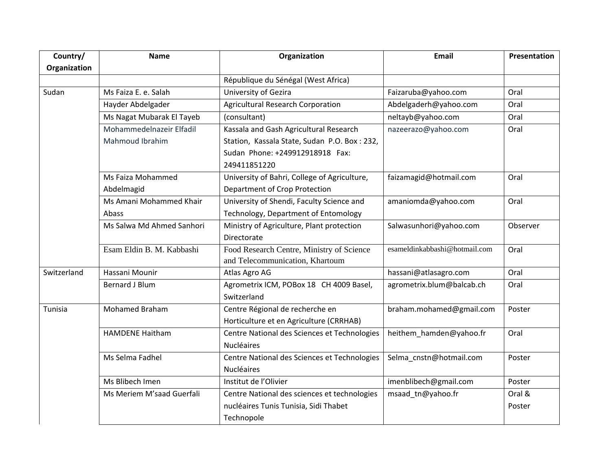| Country/     | <b>Name</b>               | Organization                                 | <b>Email</b>                  | Presentation |
|--------------|---------------------------|----------------------------------------------|-------------------------------|--------------|
| Organization |                           |                                              |                               |              |
|              |                           | République du Sénégal (West Africa)          |                               |              |
| Sudan        | Ms Faiza E. e. Salah      | University of Gezira                         | Faizaruba@yahoo.com           | Oral         |
|              | Hayder Abdelgader         | <b>Agricultural Research Corporation</b>     | Abdelgaderh@yahoo.com         | Oral         |
|              | Ms Nagat Mubarak El Tayeb | (consultant)                                 | neltayb@yahoo.com             | Oral         |
|              | Mohammedelnazeir Elfadil  | Kassala and Gash Agricultural Research       | nazeerazo@yahoo.com           | Oral         |
|              | <b>Mahmoud Ibrahim</b>    | Station, Kassala State, Sudan P.O. Box: 232, |                               |              |
|              |                           | Sudan Phone: +249912918918 Fax:              |                               |              |
|              |                           | 249411851220                                 |                               |              |
|              | Ms Faiza Mohammed         | University of Bahri, College of Agriculture, | faizamagid@hotmail.com        | Oral         |
|              | Abdelmagid                | Department of Crop Protection                |                               |              |
|              | Ms Amani Mohammed Khair   | University of Shendi, Faculty Science and    | amaniomda@yahoo.com           | Oral         |
|              | Abass                     | Technology, Department of Entomology         |                               |              |
|              | Ms Salwa Md Ahmed Sanhori | Ministry of Agriculture, Plant protection    | Salwasunhori@yahoo.com        | Observer     |
|              |                           | Directorate                                  |                               |              |
|              | Esam Eldin B. M. Kabbashi | Food Research Centre, Ministry of Science    | esameldinkabbashi@hotmail.com | Oral         |
|              |                           | and Telecommunication, Khartoum              |                               |              |
| Switzerland  | Hassani Mounir            | Atlas Agro AG                                | hassani@atlasagro.com         | Oral         |
|              | <b>Bernard J Blum</b>     | Agrometrix ICM, POBox 18 CH 4009 Basel,      | agrometrix.blum@balcab.ch     | Oral         |
|              |                           | Switzerland                                  |                               |              |
| Tunisia      | Mohamed Braham            | Centre Régional de recherche en              | braham.mohamed@gmail.com      | Poster       |
|              |                           | Horticulture et en Agriculture (CRRHAB)      |                               |              |
|              | <b>HAMDENE Haitham</b>    | Centre National des Sciences et Technologies | heithem hamden@yahoo.fr       | Oral         |
|              |                           | <b>Nucléaires</b>                            |                               |              |
|              | Ms Selma Fadhel           | Centre National des Sciences et Technologies | Selma_cnstn@hotmail.com       | Poster       |
|              |                           | <b>Nucléaires</b>                            |                               |              |
|              | Ms Blibech Imen           | Institut de l'Olivier                        | imenblibech@gmail.com         | Poster       |
|              | Ms Meriem M'saad Guerfali | Centre National des sciences et technologies | msaad tn@yahoo.fr             | Oral &       |
|              |                           | nucléaires Tunis Tunisia, Sidi Thabet        |                               | Poster       |
|              |                           | Technopole                                   |                               |              |